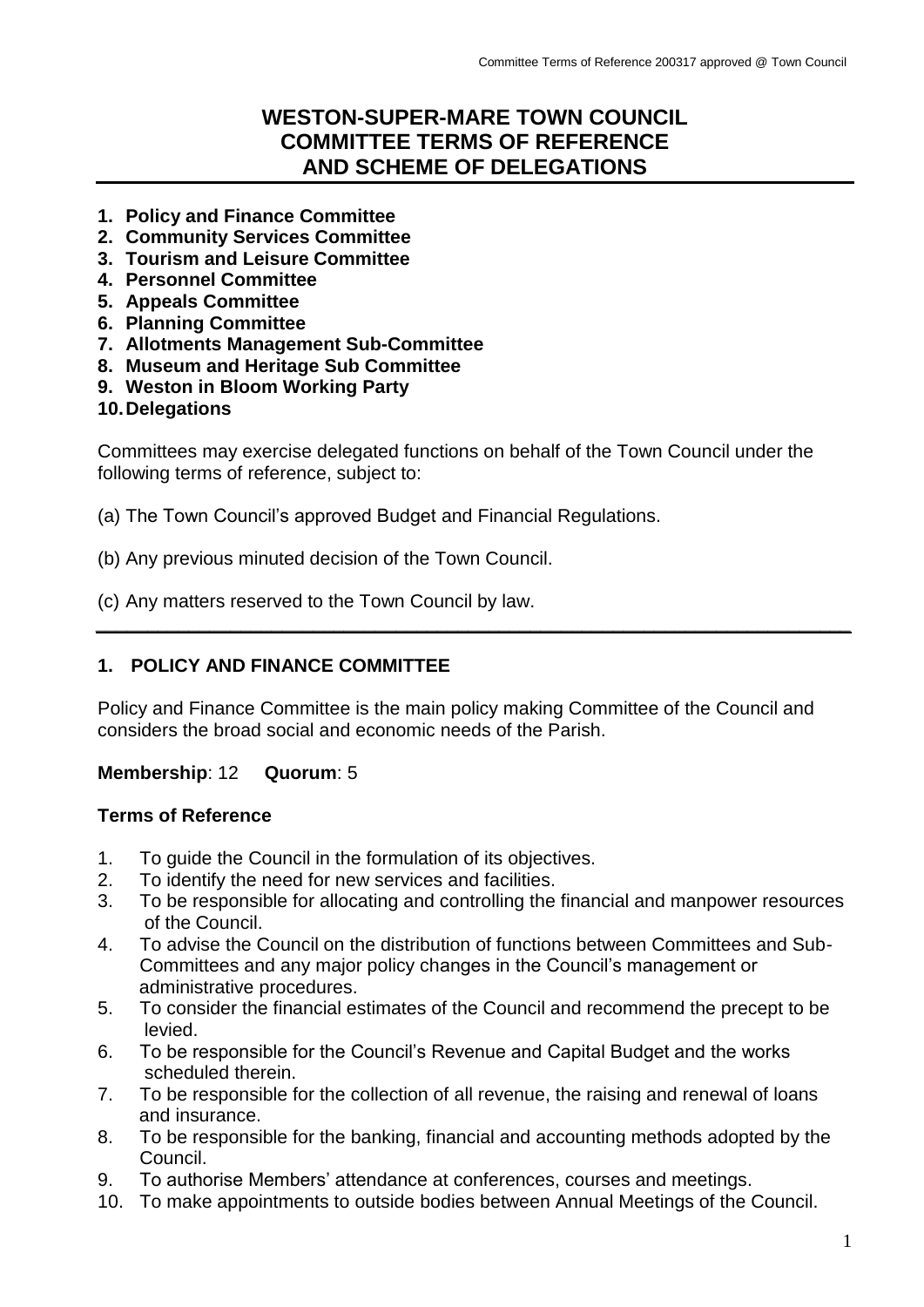# **WESTON-SUPER-MARE TOWN COUNCIL COMMITTEE TERMS OF REFERENCE AND SCHEME OF DELEGATIONS**

- **1. Policy and Finance Committee**
- **2. Community Services Committee**
- **3. Tourism and Leisure Committee**
- **4. Personnel Committee**
- **5. Appeals Committee**
- **6. Planning Committee**
- **7. Allotments Management Sub-Committee**
- **8. Museum and Heritage Sub Committee**
- **9. Weston in Bloom Working Party**
- **10.Delegations**

Committees may exercise delegated functions on behalf of the Town Council under the following terms of reference, subject to:

(a) The Town Council's approved Budget and Financial Regulations.

- (b) Any previous minuted decision of the Town Council.
- (c) Any matters reserved to the Town Council by law.

### **1. POLICY AND FINANCE COMMITTEE**

Policy and Finance Committee is the main policy making Committee of the Council and considers the broad social and economic needs of the Parish.

**\_\_\_\_\_\_\_\_\_\_\_\_\_\_\_\_\_\_\_\_\_\_\_\_\_\_\_\_\_\_\_\_\_\_\_\_\_\_\_\_\_\_\_\_\_\_\_\_\_\_\_\_\_\_\_\_\_\_\_\_\_\_\_\_\_\_\_\_\_\_\_\_\_**

### **Membership**: 12 **Quorum**: 5

### **Terms of Reference**

- 1. To guide the Council in the formulation of its objectives.
- 2. To identify the need for new services and facilities.
- 3. To be responsible for allocating and controlling the financial and manpower resources of the Council.
- 4. To advise the Council on the distribution of functions between Committees and Sub-Committees and any major policy changes in the Council's management or administrative procedures.
- 5. To consider the financial estimates of the Council and recommend the precept to be levied.
- 6. To be responsible for the Council's Revenue and Capital Budget and the works scheduled therein.
- 7. To be responsible for the collection of all revenue, the raising and renewal of loans and insurance.
- 8. To be responsible for the banking, financial and accounting methods adopted by the Council.
- 9. To authorise Members' attendance at conferences, courses and meetings.
- 10. To make appointments to outside bodies between Annual Meetings of the Council.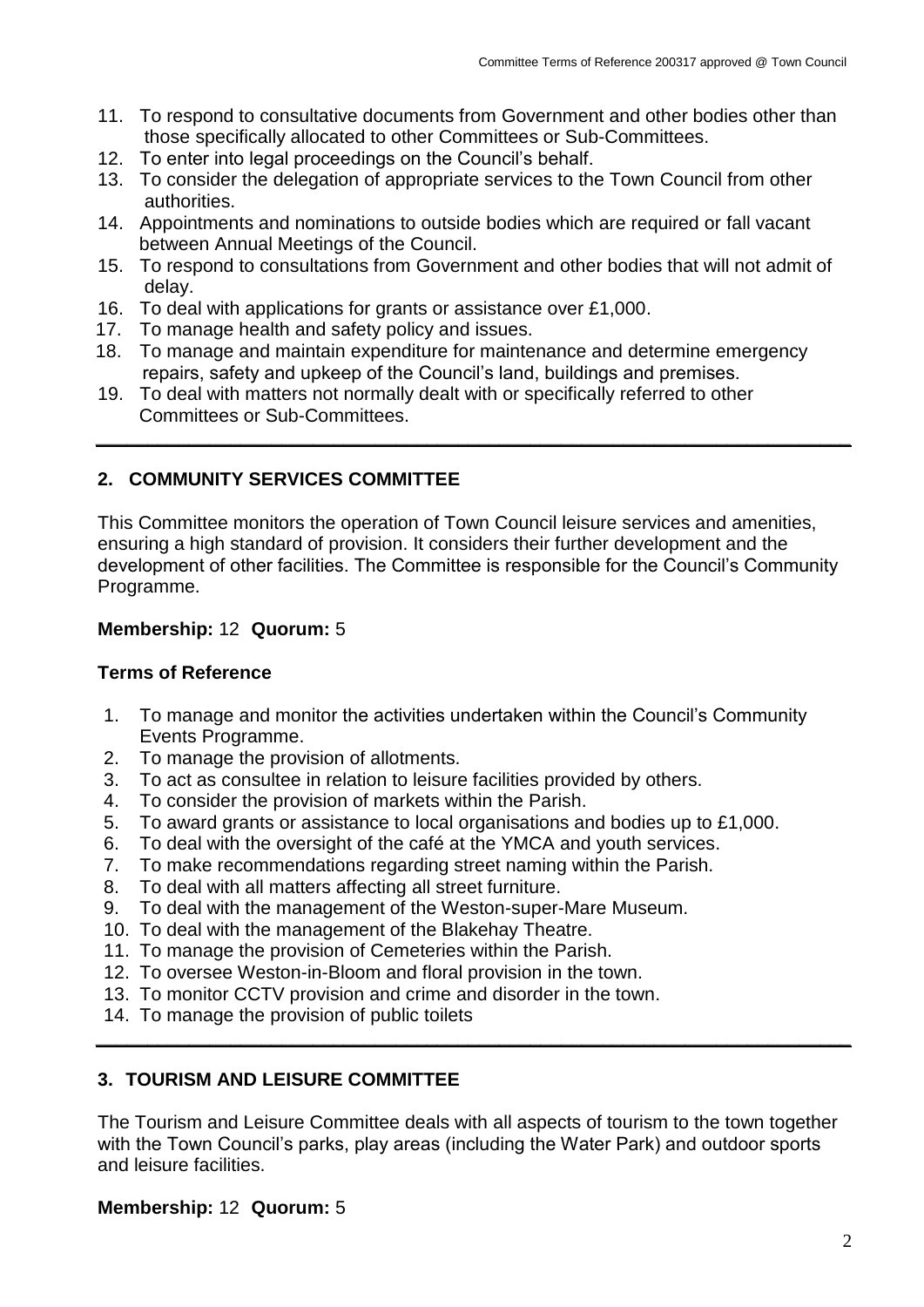- 11. To respond to consultative documents from Government and other bodies other than those specifically allocated to other Committees or Sub-Committees.
- 12. To enter into legal proceedings on the Council's behalf.
- 13. To consider the delegation of appropriate services to the Town Council from other authorities.
- 14. Appointments and nominations to outside bodies which are required or fall vacant between Annual Meetings of the Council.
- 15. To respond to consultations from Government and other bodies that will not admit of delay.
- 16. To deal with applications for grants or assistance over £1,000.
- 17. To manage health and safety policy and issues.
- 18. To manage and maintain expenditure for maintenance and determine emergency repairs, safety and upkeep of the Council's land, buildings and premises.
- 19. To deal with matters not normally dealt with or specifically referred to other Committees or Sub-Committees.

### **2. COMMUNITY SERVICES COMMITTEE**

This Committee monitors the operation of Town Council leisure services and amenities, ensuring a high standard of provision. It considers their further development and the development of other facilities. The Committee is responsible for the Council's Community Programme.

**\_\_\_\_\_\_\_\_\_\_\_\_\_\_\_\_\_\_\_\_\_\_\_\_\_\_\_\_\_\_\_\_\_\_\_\_\_\_\_\_\_\_\_\_\_\_\_\_\_\_\_\_\_\_\_\_\_\_\_\_\_\_\_\_\_\_\_\_\_\_\_\_\_**

### **Membership:** 12 **Quorum:** 5

### **Terms of Reference**

- 1. To manage and monitor the activities undertaken within the Council's Community Events Programme.
- 2. To manage the provision of allotments.
- 3. To act as consultee in relation to leisure facilities provided by others.
- 4. To consider the provision of markets within the Parish.
- 5. To award grants or assistance to local organisations and bodies up to £1,000.
- 6. To deal with the oversight of the café at the YMCA and youth services.
- 7. To make recommendations regarding street naming within the Parish.
- 8. To deal with all matters affecting all street furniture.
- 9. To deal with the management of the Weston-super-Mare Museum.
- 10. To deal with the management of the Blakehay Theatre.
- 11. To manage the provision of Cemeteries within the Parish.
- 12. To oversee Weston-in-Bloom and floral provision in the town.
- 13. To monitor CCTV provision and crime and disorder in the town.
- 14. To manage the provision of public toilets

### **3. TOURISM AND LEISURE COMMITTEE**

The Tourism and Leisure Committee deals with all aspects of tourism to the town together with the Town Council's parks, play areas (including the Water Park) and outdoor sports and leisure facilities.

**\_\_\_\_\_\_\_\_\_\_\_\_\_\_\_\_\_\_\_\_\_\_\_\_\_\_\_\_\_\_\_\_\_\_\_\_\_\_\_\_\_\_\_\_\_\_\_\_\_\_\_\_\_\_\_\_\_\_\_\_\_\_\_\_\_\_\_\_\_\_\_\_\_**

### **Membership:** 12 **Quorum:** 5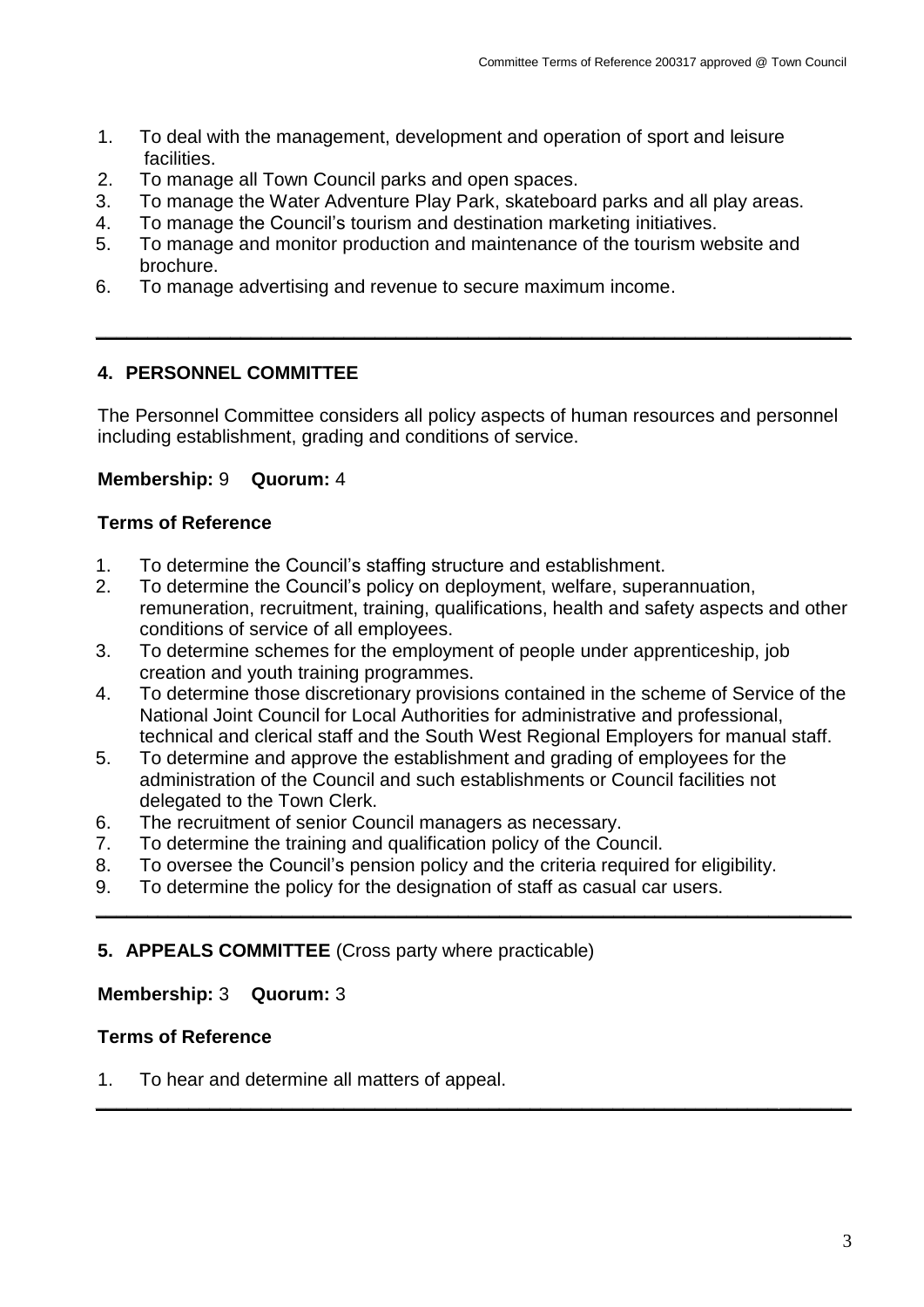- 1. To deal with the management, development and operation of sport and leisure facilities.
- 2. To manage all Town Council parks and open spaces.
- 3. To manage the Water Adventure Play Park, skateboard parks and all play areas.
- 4. To manage the Council's tourism and destination marketing initiatives.
- 5. To manage and monitor production and maintenance of the tourism website and brochure.
- 6. To manage advertising and revenue to secure maximum income.

# **4. PERSONNEL COMMITTEE**

The Personnel Committee considers all policy aspects of human resources and personnel including establishment, grading and conditions of service.

**\_\_\_\_\_\_\_\_\_\_\_\_\_\_\_\_\_\_\_\_\_\_\_\_\_\_\_\_\_\_\_\_\_\_\_\_\_\_\_\_\_\_\_\_\_\_\_\_\_\_\_\_\_\_\_\_\_\_\_\_\_\_\_\_\_\_\_\_\_\_\_\_\_**

# **Membership:** 9 **Quorum:** 4

### **Terms of Reference**

- 1. To determine the Council's staffing structure and establishment.
- 2. To determine the Council's policy on deployment, welfare, superannuation, remuneration, recruitment, training, qualifications, health and safety aspects and other conditions of service of all employees.
- 3. To determine schemes for the employment of people under apprenticeship, job creation and youth training programmes.
- 4. To determine those discretionary provisions contained in the scheme of Service of the National Joint Council for Local Authorities for administrative and professional, technical and clerical staff and the South West Regional Employers for manual staff.

**\_\_\_\_\_\_\_\_\_\_\_\_\_\_\_\_\_\_\_\_\_\_\_\_\_\_\_\_\_\_\_\_\_\_\_\_\_\_\_\_\_\_\_\_\_\_\_\_\_\_\_\_\_\_\_\_\_\_\_\_\_\_\_\_\_\_\_\_\_\_\_\_\_**

**\_\_\_\_\_\_\_\_\_\_\_\_\_\_\_\_\_\_\_\_\_\_\_\_\_\_\_\_\_\_\_\_\_\_\_\_\_\_\_\_\_\_\_\_\_\_\_\_\_\_\_\_\_\_\_\_\_\_\_\_\_\_\_\_\_\_\_\_\_\_\_\_\_**

- 5. To determine and approve the establishment and grading of employees for the administration of the Council and such establishments or Council facilities not delegated to the Town Clerk.
- 6. The recruitment of senior Council managers as necessary.
- 7. To determine the training and qualification policy of the Council.
- 8. To oversee the Council's pension policy and the criteria required for eligibility.
- 9. To determine the policy for the designation of staff as casual car users.

# **5. APPEALS COMMITTEE** (Cross party where practicable)

### **Membership:** 3 **Quorum:** 3

### **Terms of Reference**

1. To hear and determine all matters of appeal.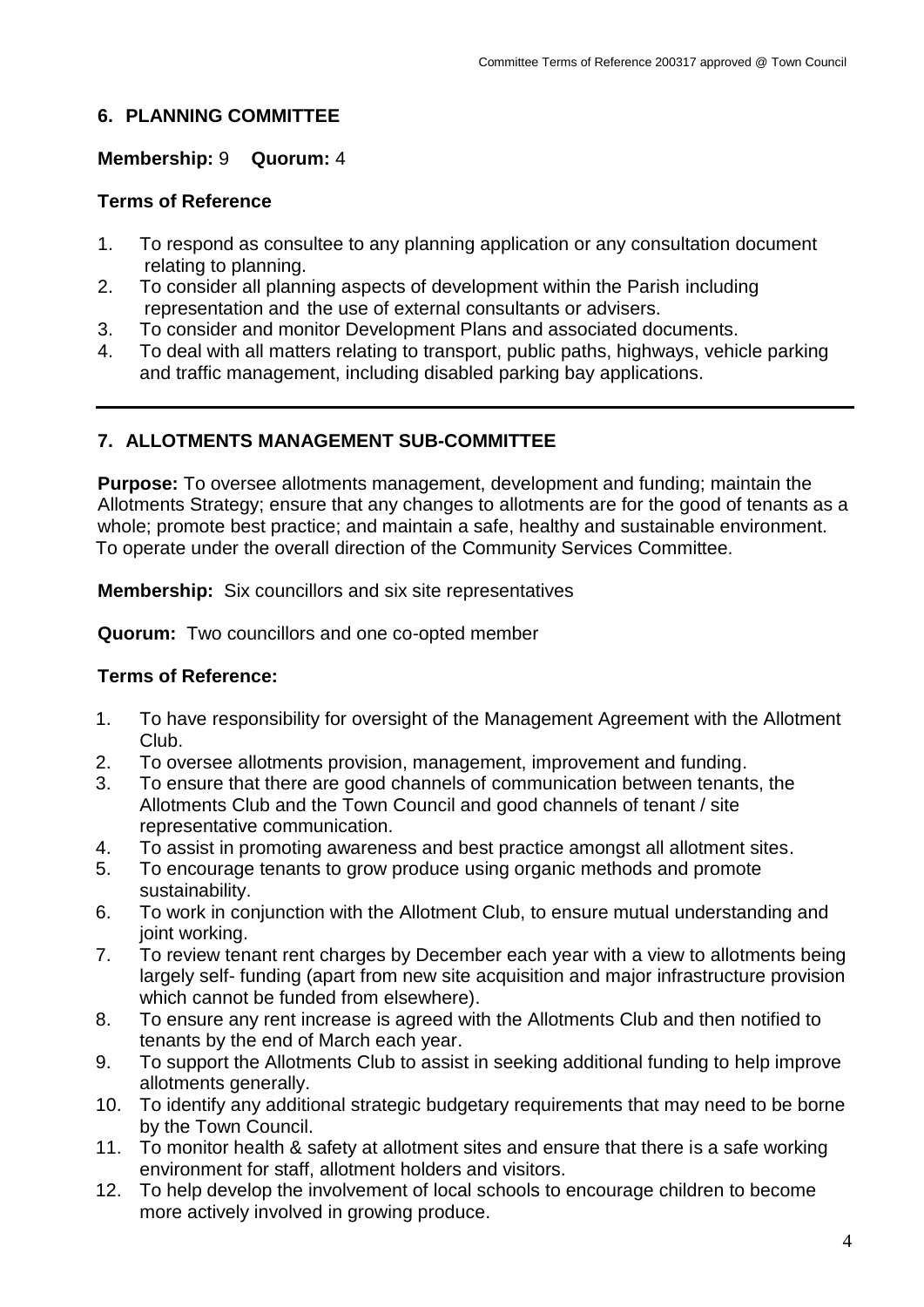# **6. PLANNING COMMITTEE**

### **Membership:** 9 **Quorum:** 4

### **Terms of Reference**

- 1. To respond as consultee to any planning application or any consultation document relating to planning.
- 2. To consider all planning aspects of development within the Parish including representation and the use of external consultants or advisers.
- 3. To consider and monitor Development Plans and associated documents.
- 4. To deal with all matters relating to transport, public paths, highways, vehicle parking and traffic management, including disabled parking bay applications.

# **7. ALLOTMENTS MANAGEMENT SUB-COMMITTEE**

**Purpose:** To oversee allotments management, development and funding; maintain the Allotments Strategy; ensure that any changes to allotments are for the good of tenants as a whole; promote best practice; and maintain a safe, healthy and sustainable environment. To operate under the overall direction of the Community Services Committee.

**Membership:** Six councillors and six site representatives

**Quorum:** Two councillors and one co-opted member

# **Terms of Reference:**

- 1. To have responsibility for oversight of the Management Agreement with the Allotment Club.
- 2. To oversee allotments provision, management, improvement and funding.
- 3. To ensure that there are good channels of communication between tenants, the Allotments Club and the Town Council and good channels of tenant / site representative communication.
- 4. To assist in promoting awareness and best practice amongst all allotment sites.
- 5. To encourage tenants to grow produce using organic methods and promote sustainability.
- 6. To work in conjunction with the Allotment Club, to ensure mutual understanding and joint working.
- 7. To review tenant rent charges by December each year with a view to allotments being largely self- funding (apart from new site acquisition and major infrastructure provision which cannot be funded from elsewhere).
- 8. To ensure any rent increase is agreed with the Allotments Club and then notified to tenants by the end of March each year.
- 9. To support the Allotments Club to assist in seeking additional funding to help improve allotments generally.
- 10. To identify any additional strategic budgetary requirements that may need to be borne by the Town Council.
- 11. To monitor health & safety at allotment sites and ensure that there is a safe working environment for staff, allotment holders and visitors.
- 12. To help develop the involvement of local schools to encourage children to become more actively involved in growing produce.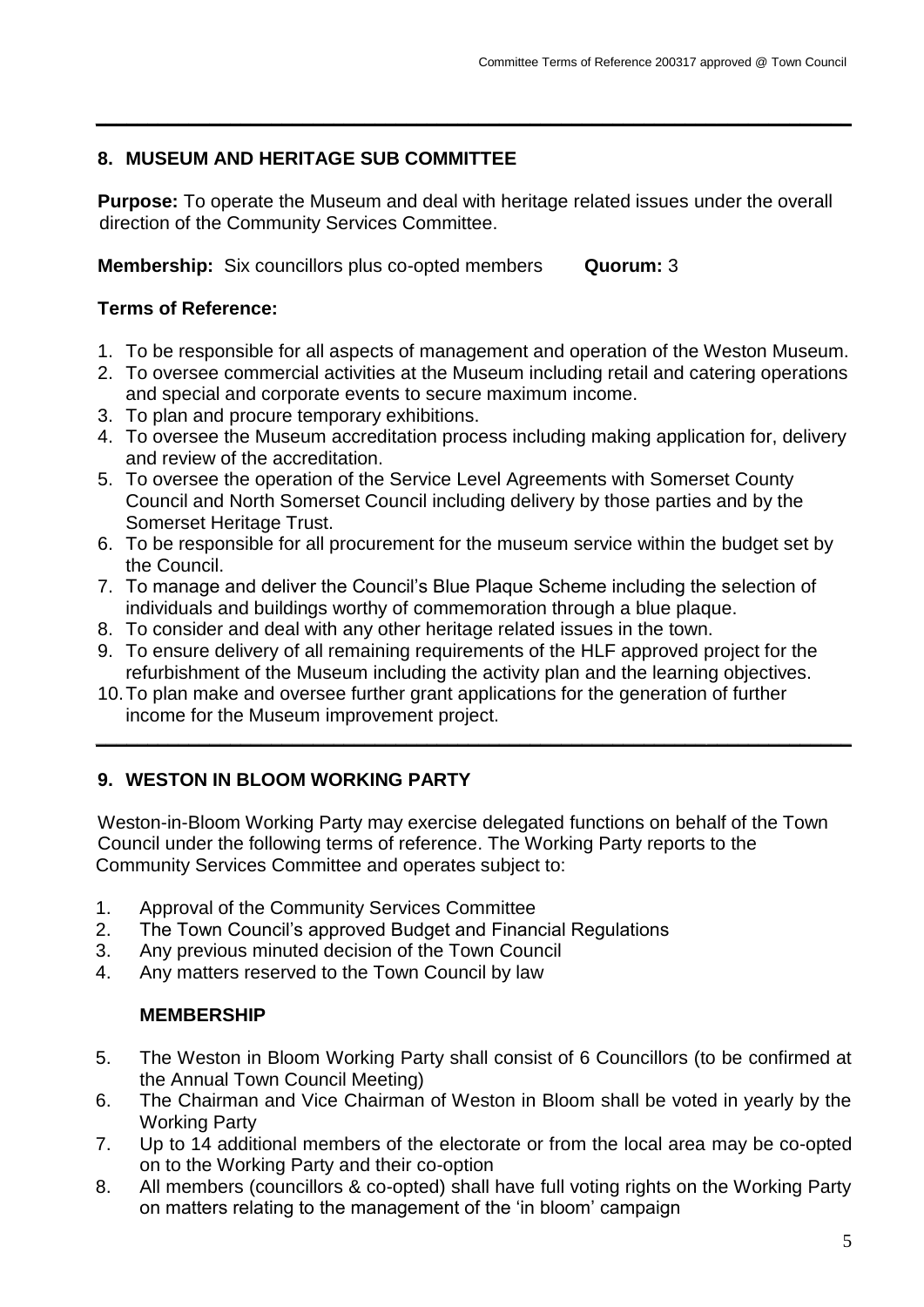# **8. MUSEUM AND HERITAGE SUB COMMITTEE**

**Purpose:** To operate the Museum and deal with heritage related issues under the overall direction of the Community Services Committee.

**\_\_\_\_\_\_\_\_\_\_\_\_\_\_\_\_\_\_\_\_\_\_\_\_\_\_\_\_\_\_\_\_\_\_\_\_\_\_\_\_\_\_\_\_\_\_\_\_\_\_\_\_\_\_\_\_\_\_\_\_\_\_\_\_\_\_\_\_\_\_\_\_\_**

**Membership:** Six councillors plus co-opted members **Quorum:** 3

# **Terms of Reference:**

- 1. To be responsible for all aspects of management and operation of the Weston Museum.
- 2. To oversee commercial activities at the Museum including retail and catering operations and special and corporate events to secure maximum income.
- 3. To plan and procure temporary exhibitions.
- 4. To oversee the Museum accreditation process including making application for, delivery and review of the accreditation.
- 5. To oversee the operation of the Service Level Agreements with Somerset County Council and North Somerset Council including delivery by those parties and by the Somerset Heritage Trust.
- 6. To be responsible for all procurement for the museum service within the budget set by the Council.
- 7. To manage and deliver the Council's Blue Plaque Scheme including the selection of individuals and buildings worthy of commemoration through a blue plaque.
- 8. To consider and deal with any other heritage related issues in the town.
- 9. To ensure delivery of all remaining requirements of the HLF approved project for the refurbishment of the Museum including the activity plan and the learning objectives.

**\_\_\_\_\_\_\_\_\_\_\_\_\_\_\_\_\_\_\_\_\_\_\_\_\_\_\_\_\_\_\_\_\_\_\_\_\_\_\_\_\_\_\_\_\_\_\_\_\_\_\_\_\_\_\_\_\_\_\_\_\_\_\_\_\_\_\_\_\_\_\_\_\_**

10.To plan make and oversee further grant applications for the generation of further income for the Museum improvement project.

# **9. WESTON IN BLOOM WORKING PARTY**

Weston-in-Bloom Working Party may exercise delegated functions on behalf of the Town Council under the following terms of reference. The Working Party reports to the Community Services Committee and operates subject to:

- 1. Approval of the Community Services Committee
- 2. The Town Council's approved Budget and Financial Regulations
- 3. Any previous minuted decision of the Town Council
- 4. Any matters reserved to the Town Council by law

# **MEMBERSHIP**

- 5. The Weston in Bloom Working Party shall consist of 6 Councillors (to be confirmed at the Annual Town Council Meeting)
- 6. The Chairman and Vice Chairman of Weston in Bloom shall be voted in yearly by the Working Party
- 7. Up to 14 additional members of the electorate or from the local area may be co-opted on to the Working Party and their co-option
- 8. All members (councillors & co-opted) shall have full voting rights on the Working Party on matters relating to the management of the 'in bloom' campaign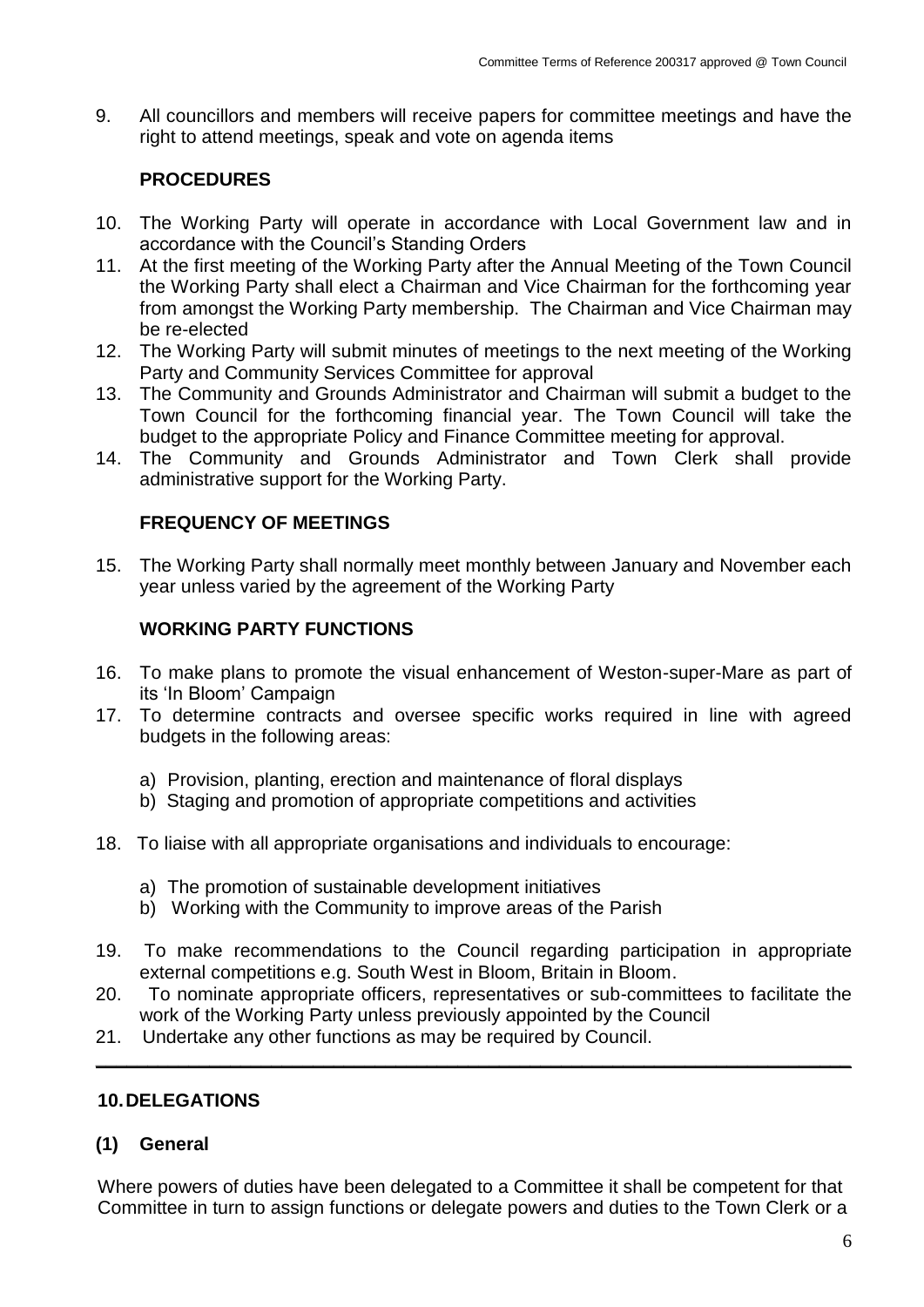9. All councillors and members will receive papers for committee meetings and have the right to attend meetings, speak and vote on agenda items

# **PROCEDURES**

- 10. The Working Party will operate in accordance with Local Government law and in accordance with the Council's Standing Orders
- 11. At the first meeting of the Working Party after the Annual Meeting of the Town Council the Working Party shall elect a Chairman and Vice Chairman for the forthcoming year from amongst the Working Party membership. The Chairman and Vice Chairman may be re-elected
- 12. The Working Party will submit minutes of meetings to the next meeting of the Working Party and Community Services Committee for approval
- 13. The Community and Grounds Administrator and Chairman will submit a budget to the Town Council for the forthcoming financial year. The Town Council will take the budget to the appropriate Policy and Finance Committee meeting for approval.
- 14. The Community and Grounds Administrator and Town Clerk shall provide administrative support for the Working Party.

# **FREQUENCY OF MEETINGS**

15. The Working Party shall normally meet monthly between January and November each year unless varied by the agreement of the Working Party

### **WORKING PARTY FUNCTIONS**

- 16. To make plans to promote the visual enhancement of Weston-super-Mare as part of its 'In Bloom' Campaign
- 17. To determine contracts and oversee specific works required in line with agreed budgets in the following areas:
	- a) Provision, planting, erection and maintenance of floral displays
	- b) Staging and promotion of appropriate competitions and activities
- 18. To liaise with all appropriate organisations and individuals to encourage:
	- a) The promotion of sustainable development initiatives
	- b) Working with the Community to improve areas of the Parish
- 19. To make recommendations to the Council regarding participation in appropriate external competitions e.g. South West in Bloom, Britain in Bloom.
- 20. To nominate appropriate officers, representatives or sub-committees to facilitate the work of the Working Party unless previously appointed by the Council

**\_\_\_\_\_\_\_\_\_\_\_\_\_\_\_\_\_\_\_\_\_\_\_\_\_\_\_\_\_\_\_\_\_\_\_\_\_\_\_\_\_\_\_\_\_\_\_\_\_\_\_\_\_\_\_\_\_\_\_\_\_\_\_\_\_\_\_\_\_\_\_\_\_**

21. Undertake any other functions as may be required by Council.

### **10.DELEGATIONS**

# **(1) General**

Where powers of duties have been delegated to a Committee it shall be competent for that Committee in turn to assign functions or delegate powers and duties to the Town Clerk or a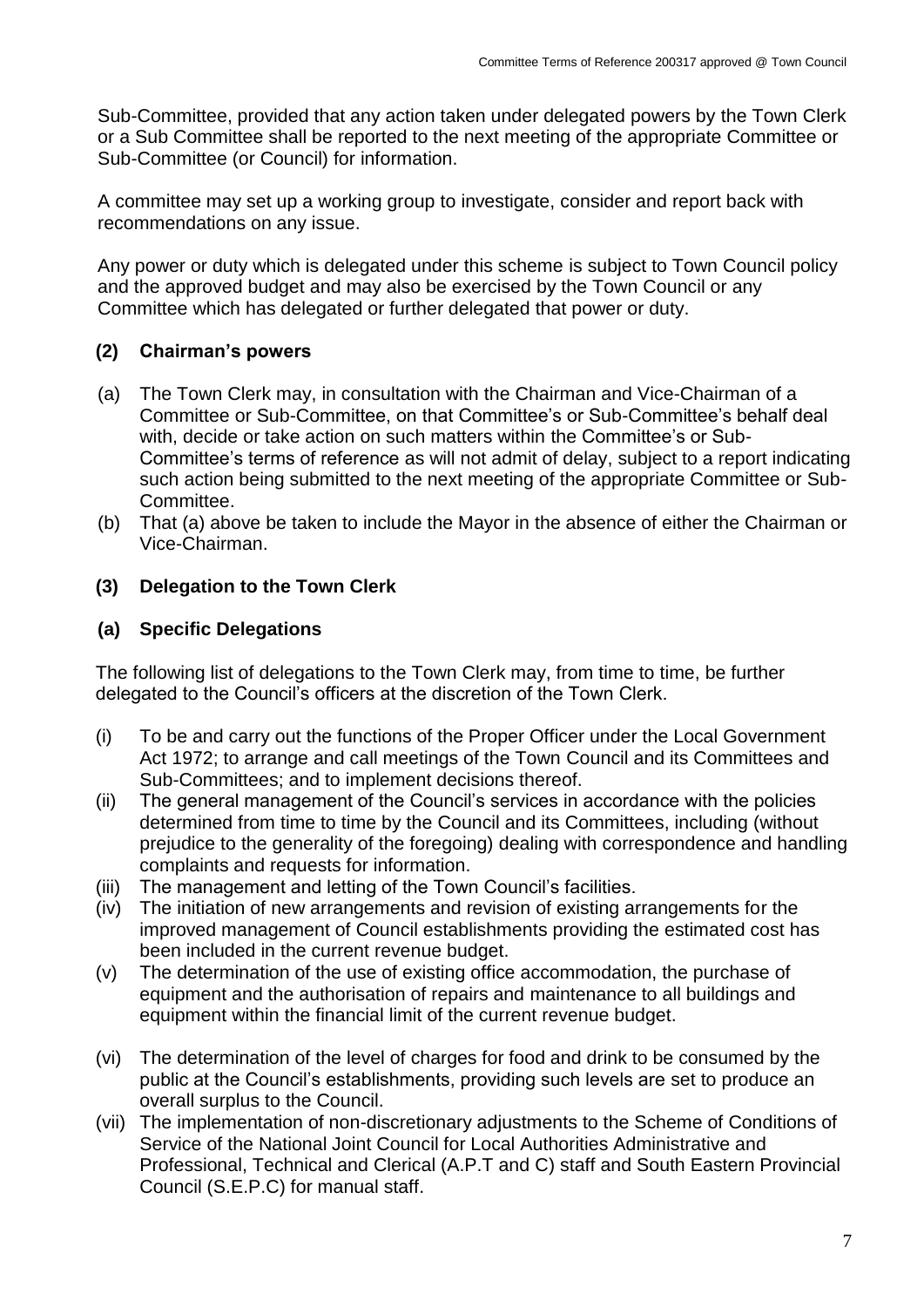Sub-Committee, provided that any action taken under delegated powers by the Town Clerk or a Sub Committee shall be reported to the next meeting of the appropriate Committee or Sub-Committee (or Council) for information.

A committee may set up a working group to investigate, consider and report back with recommendations on any issue.

Any power or duty which is delegated under this scheme is subject to Town Council policy and the approved budget and may also be exercised by the Town Council or any Committee which has delegated or further delegated that power or duty.

# **(2) Chairman's powers**

- (a) The Town Clerk may, in consultation with the Chairman and Vice-Chairman of a Committee or Sub-Committee, on that Committee's or Sub-Committee's behalf deal with, decide or take action on such matters within the Committee's or Sub-Committee's terms of reference as will not admit of delay, subject to a report indicating such action being submitted to the next meeting of the appropriate Committee or Sub-Committee.
- (b) That (a) above be taken to include the Mayor in the absence of either the Chairman or Vice-Chairman.

### **(3) Delegation to the Town Clerk**

### **(a) Specific Delegations**

The following list of delegations to the Town Clerk may, from time to time, be further delegated to the Council's officers at the discretion of the Town Clerk.

- (i) To be and carry out the functions of the Proper Officer under the Local Government Act 1972; to arrange and call meetings of the Town Council and its Committees and Sub-Committees; and to implement decisions thereof.
- (ii) The general management of the Council's services in accordance with the policies determined from time to time by the Council and its Committees, including (without prejudice to the generality of the foregoing) dealing with correspondence and handling complaints and requests for information.
- (iii) The management and letting of the Town Council's facilities.
- (iv) The initiation of new arrangements and revision of existing arrangements for the improved management of Council establishments providing the estimated cost has been included in the current revenue budget.
- (v) The determination of the use of existing office accommodation, the purchase of equipment and the authorisation of repairs and maintenance to all buildings and equipment within the financial limit of the current revenue budget.
- (vi) The determination of the level of charges for food and drink to be consumed by the public at the Council's establishments, providing such levels are set to produce an overall surplus to the Council.
- (vii) The implementation of non-discretionary adjustments to the Scheme of Conditions of Service of the National Joint Council for Local Authorities Administrative and Professional, Technical and Clerical (A.P.T and C) staff and South Eastern Provincial Council (S.E.P.C) for manual staff.